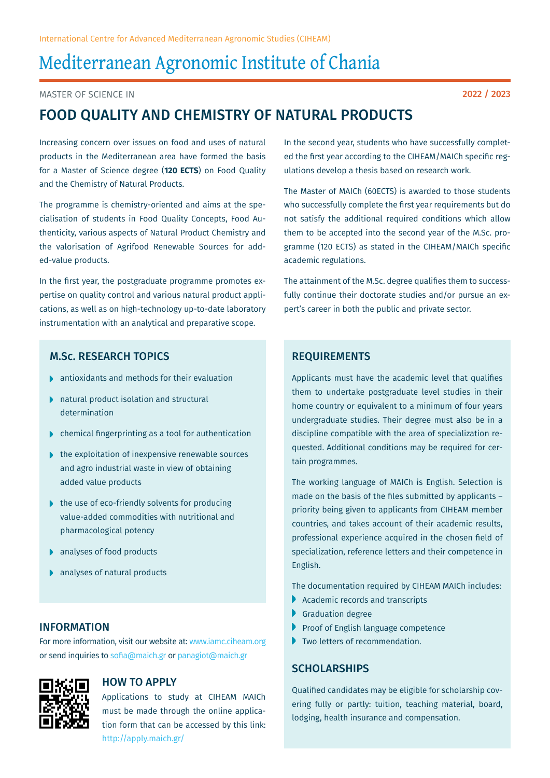# Mediterranean Agronomic Institute of Chania

Master of Science in

## Food Quality and Chemistry of Natural Products

Increasing concern over issues on food and uses of natural products in the Mediterranean area have formed the basis for a Master of Science degree (**120 ECTS**) on Food Quality and the Chemistry of Natural Products.

The programme is chemistry-oriented and aims at the specialisation of students in Food Quality Concepts, Food Authenticity, various aspects of Natural Product Chemistry and the valorisation of Agrifood Renewable Sources for added-value products.

In the first year, the postgraduate programme promotes expertise on quality control and various natural product applications, as well as on high-technology up-to-date laboratory instrumentation with an analytical and preparative scope.

## M.Sc. Research Topics

- antioxidants and methods for their evaluation
- natural product isolation and structural determination
- chemical fingerprinting as a tool for authentication
- $\blacktriangleright$  the exploitation of inexpensive renewable sources and agro industrial waste in view of obtaining added value products
- $\blacktriangleright$  the use of eco-friendly solvents for producing value-added commodities with nutritional and pharmacological potency
- ▶ analyses of food products
- ▶ analyses of natural products

## **INFORMATION**

For more information, visit our website at: www.iamc.ciheam.org or send inquiries to sofia@maich.gr or panagiot@maich.gr



## How to Apply

Applications to study at CIHEAM MAICh must be made through the online application form that can be accessed by this link: http://apply.maich.gr/

In the second year, students who have successfully completed the first year according to the CIHEAM/MAICh specific regulations develop a thesis based on research work.

The Master of MAICh (60ECTS) is awarded to those students who successfully complete the first year requirements but do not satisfy the additional required conditions which allow them to be accepted into the second year of the M.Sc. programme (120 ECTS) as stated in the CIHEAM/MAICh specific academic regulations.

The attainment of the M.Sc. degree qualifies them to successfully continue their doctorate studies and/or pursue an expert's career in both the public and private sector.

## **REQUIREMENTS**

Applicants must have the academic level that qualifies them to undertake postgraduate level studies in their home country or equivalent to a minimum of four years undergraduate studies. Their degree must also be in a discipline compatible with the area of specialization requested. Additional conditions may be required for certain programmes.

The working language of MAICh is English. Selection is made on the basis of the files submitted by applicants – priority being given to applicants from CIHEAM member countries, and takes account of their academic results, professional experience acquired in the chosen field of specialization, reference letters and their competence in English.

The documentation required by CIHEAM MAICh includes:

- Academic records and transcripts
- Graduation degree
- Proof of English language competence
- Two letters of recommendation.

## **SCHOLARSHIPS**

Qualified candidates may be eligible for scholarship covering fully or partly: tuition, teaching material, board, lodging, health insurance and compensation.

2022 / 2023